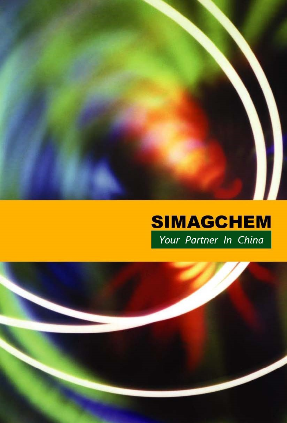

# **SIMAGCHEM** Your Partner In China

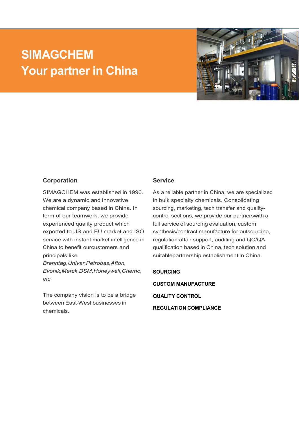## **SIMAGCHEM Your partner in China**



#### **Corporation**

SIMAGCHEM was established in 1996. We are a dynamic and innovative chemical company based in China. In term of our teamwork, we provide experienced quality product which exported to US and EU market and ISO service with instant market intelligence in China to benefit ourcustomers and principals like *Brenntag,Univar,Petrobas,Afton, Evonik,Merck,DSM,Honeywell,Chemo, etc*

The company vision is to be a bridge between East-West businesses in chemicals.

#### **Service**

As a reliable partner in China, we are specialized in bulk specialty chemicals. Consolidating sourcing, marketing, tech transfer and qualitycontrol sections, we provide our partnerswith a full service of sourcing evaluation, custom synthesis/contract manufacture for outsourcing, regulation affair support, auditing and QC/QA qualification based in China, tech solution and suitablepartnership establishment in China.

#### **SOURCING**

**CUSTOM MANUFACTURE**

**QUALITY CONTROL**

**REGULATION COMPLIANCE**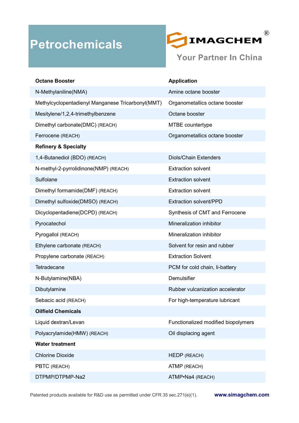## **Petrochemicals**



**Your Partner In China** 

| <b>Octane Booster</b>                             | <b>Application</b>                  |
|---------------------------------------------------|-------------------------------------|
| N-Methylaniline(NMA)                              | Amine octane booster                |
| Methylcyclopentadienyl Manganese Tricarbonyl(MMT) | Organometallics octane booster      |
| Mesitylene/1,2,4-trimethylbenzene                 | Octane booster                      |
| Dimethyl carbonate(DMC) (REACH)                   | MTBE countertype                    |
| Ferrocene (REACH)                                 | Organometallics octane booster      |
| <b>Refinery &amp; Specialty</b>                   |                                     |
| 1,4-Butanediol (BDO) (REACH)                      | <b>Diols/Chain Extenders</b>        |
| N-methyl-2-pyrrolidinone(NMP) (REACH)             | <b>Extraction solvent</b>           |
| Sulfolane                                         | <b>Extraction solvent</b>           |
| Dimethyl formamide(DMF) (REACH)                   | <b>Extraction solvent</b>           |
| Dimethyl sulfoxide(DMSO) (REACH)                  | Extraction solvent/PPD              |
| Dicyclopentadiene(DCPD) (REACH)                   | Synthesis of CMT and Ferrocene      |
| Pyrocatechol                                      | Mineralization inhibitor            |
| Pyrogallol (REACH)                                | Mineralization inhibitor            |
| Ethylene carbonate (REACH)                        | Solvent for resin and rubber        |
| Propylene carbonate (REACH)                       | <b>Extraction Solvent</b>           |
| Tetradecane                                       | PCM for cold chain, li-battery      |
| N-Butylamine(NBA)                                 | Demulsifier                         |
| Dibutylamine                                      | Rubber vulcanization accelerator    |
| Sebacic acid (REACH)                              | For high-temperature lubricant      |
| <b>Oilfield Chemicals</b>                         |                                     |
| Liquid dextran/Levan                              | Functionalized modified biopolymers |
| Polyacrylamide(HMW) (REACH)                       | Oil displacing agent                |
| <b>Water treatment</b>                            |                                     |
| <b>Chlorine Dioxide</b>                           | <b>HEDP (REACH)</b>                 |
| PBTC (REACH)                                      | ATMP (REACH)                        |
| DTPMP/DTPMP-Na2                                   | ATMP•Na4 (REACH)                    |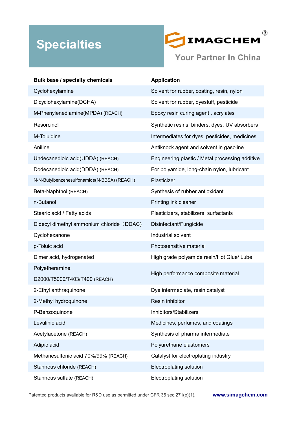## **Specialties**



| <b>Bulk base / specialty chemicals</b>      | <b>Application</b>                              |
|---------------------------------------------|-------------------------------------------------|
| Cyclohexylamine                             | Solvent for rubber, coating, resin, nylon       |
| Dicyclohexylamine(DCHA)                     | Solvent for rubber, dyestuff, pesticide         |
| M-Phenylenediamine(MPDA) (REACH)            | Epoxy resin curing agent, acrylates             |
| Resorcinol                                  | Synthetic resins, binders, dyes, UV absorbers   |
| M-Toluidine                                 | Intermediates for dyes, pesticides, medicines   |
| Aniline                                     | Antiknock agent and solvent in gasoline         |
| Undecanedioic acid(UDDA) (REACH)            | Engineering plastic / Metal processing additive |
| Dodecanedioic acid(DDDA) (REACH)            | For polyamide, long-chain nylon, lubricant      |
| N-N-Butylbenzenesulfonamide(N-BBSA) (REACH) | Plasticizer                                     |
| Beta-Naphthol (REACH)                       | Synthesis of rubber antioxidant                 |
| n-Butanol                                   | Printing ink cleaner                            |
| Stearic acid / Fatty acids                  | Plasticizers, stabilizers, surfactants          |
| Didecyl dimethyl ammonium chloride (DDAC)   | Disinfectant/Fungicide                          |
| Cyclohexanone                               | Industrial solvent                              |
| p-Toluic acid                               | Photosensitive material                         |
| Dimer acid, hydrogenated                    | High grade polyamide resin/Hot Glue/ Lube       |
| Polyetheramine                              |                                                 |
| D2000/T5000/T403/T400 (REACH)               | High performance composite material             |
| 2-Ethyl anthraquinone                       | Dye intermediate, resin catalyst                |
| 2-Methyl hydroquinone                       | Resin inhibitor                                 |
| P-Benzoquinone                              | Inhibitors/Stabilizers                          |
| Levulinic acid                              | Medicines, perfumes, and coatings               |
| Acetylacetone (REACH)                       | Synthesis of pharma intermediate                |
| Adipic acid                                 | Polyurethane elastomers                         |
| Methanesulfonic acid 70%/99% (REACH)        | Catalyst for electroplating industry            |
| Stannous chloride (REACH)                   | Electroplating solution                         |
| Stannous sulfate (REACH)                    | <b>Electroplating solution</b>                  |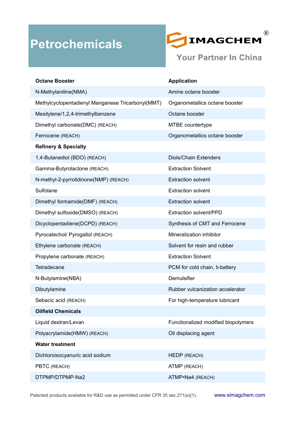

| <b>Octane Booster</b>                             | <b>Application</b>                  |
|---------------------------------------------------|-------------------------------------|
| N-Methylaniline(NMA)                              | Amine octane booster                |
| Methylcyclopentadienyl Manganese Tricarbonyl(MMT) | Organometallics octane booster      |
| Mesitylene/1,2,4-trimethylbenzene                 | Octane booster                      |
| Dimethyl carbonate(DMC) (REACH)                   | MTBE countertype                    |
| Ferrocene (REACH)                                 | Organometallics octane booster      |
| <b>Refinery &amp; Specialty</b>                   |                                     |
| 1,4-Butanediol (BDO) (REACH)                      | <b>Diols/Chain Extenders</b>        |
| Gamma-Butyrolactone (REACH)                       | <b>Extraction Solvent</b>           |
| N-methyl-2-pyrrolidinone(NMP) (REACH)             | <b>Extraction solvent</b>           |
| Sulfolane                                         | <b>Extraction solvent</b>           |
| Dimethyl formamide(DMF) (REACH)                   | <b>Extraction solvent</b>           |
| Dimethyl sulfoxide(DMSO) (REACH)                  | <b>Extraction solvent/PPD</b>       |
| Dicyclopentadiene(DCPD) (REACH)                   | Synthesis of CMT and Ferrocene      |
| Pyrocatechol/ Pyrogallol (REACH)                  | Mineralization inhibitor            |
| Ethylene carbonate (REACH)                        | Solvent for resin and rubber        |
| Propylene carbonate (REACH)                       | <b>Extraction Solvent</b>           |
| Tetradecane                                       | PCM for cold chain, li-battery      |
| N-Butylamine(NBA)                                 | Demulsifier                         |
| Dibutylamine                                      | Rubber vulcanization accelerator    |
| Sebacic acid (REACH)                              | For high-temperature lubricant      |
| <b>Oilfield Chemicals</b>                         |                                     |
| Liquid dextran/Levan                              | Functionalized modified biopolymers |
| Polyacrylamide(HMW) (REACH)                       | Oil displacing agent                |
| <b>Water treatment</b>                            |                                     |
| Dichloroisocyanuric acid sodium                   | HEDP (REACH)                        |
| PBTC (REACH)                                      | ATMP (REACH)                        |
| DTPMP/DTPMP-Na2                                   | ATMP•Na4 (REACH)                    |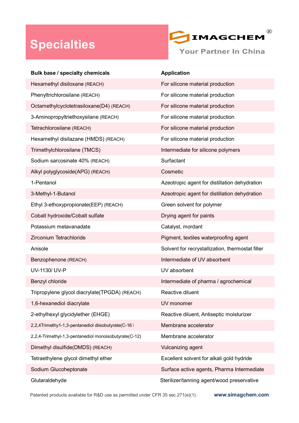## **Specialties**



| Bulk base / specialty chemicals                       | <b>Application</b>                               |
|-------------------------------------------------------|--------------------------------------------------|
| Hexamethyl disiloxane (REACH)                         | For silicone material production                 |
| Phenyltrichlorosilane (REACH)                         | For silicone material production                 |
| Octamethylcyclotetrasiloxane(D4) (REACH)              | For silicone material production                 |
| 3-Aminopropyltriethoxysilane (REACH)                  | For silicone material production                 |
| Tetrachlorosilane (REACH)                             | For silicone material production                 |
| Hexamethyl disilazane (HMDS) (REACH)                  | For silicone material production                 |
| Trimethylchlorosilane (TMCS)                          | Intermediate for silicone polymers               |
| Sodium sarcosinate 40% (REACH)                        | Surfactant                                       |
| Alkyl polyglycoside(APG) (REACH)                      | Cosmetic                                         |
| 1-Pentanol                                            | Azeotropic agent for distillation dehydration    |
| 3-Methyl-1-Butanol                                    | Azeotropic agent for distillation dehydration    |
| Ethyl 3-ethoxypropionate(EEP) (REACH)                 | Green solvent for polymer                        |
| Cobalt hydroxide/Cobalt sulfate                       | Drying agent for paints                          |
| Potassium metavanadate                                | Catalyst, mordant                                |
| Zirconium Tetrachloride                               | Pigment, textiles waterproofing agent            |
| Anisole                                               | Solvent for recrystallization, thermostat filler |
| Benzophenone (REACH)                                  | Intermediate of UV absorbent                     |
| UV-1130/ UV-P                                         | UV absorbent                                     |
| Benzyl chloride                                       | Intermediate of pharma / agrochemical            |
| Tripropylene glycol diacrylate(TPGDA) (REACH)         | Reactive diluent                                 |
| 1,6-hexanediol diacrylate                             | UV monomer                                       |
| 2-ethylhexyl glycidylether (EHGE)                     | Reactive diluent, Antiseptic moisturizer         |
| 2,2,4Trimethy1-1,3-pentanediol diisobutyrate(C-16)    | Membrane accelerator                             |
| 2,2,4-Trimethyl-1,3-pentanediol monoisobutyrate(C-12) | Membrane accelerator                             |
| Dimethyl disulfide(DMDS) (REACH)                      | Vulcanizing agent                                |
| Tetraethylene glycol dimethyl ether                   | Excellent solvent for alkali gold hydride        |
| Sodium Glucoheptonate                                 | Surface active agents, Pharma Intermediate       |
| Glutaraldehyde                                        | Sterilizer/tanning agent/wood preservative       |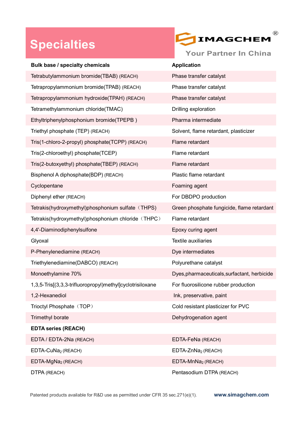#### **Specialties**



| Bulk base / specialty chemicals                           | <b>Application</b>                           |
|-----------------------------------------------------------|----------------------------------------------|
| Tetrabutylammonium bromide(TBAB) (REACH)                  | Phase transfer catalyst                      |
| Tetrapropylammonium bromide(TPAB) (REACH)                 | Phase transfer catalyst                      |
| Tetrapropylammonium hydroxide(TPAH) (REACH)               | Phase transfer catalyst                      |
| Tetramethylammonium chloride(TMAC)                        | Drilling exploration                         |
| Ethyltriphenylphosphonium bromide(TPEPB)                  | Pharma intermediate                          |
| Triethyl phosphate (TEP) (REACH)                          | Solvent, flame retardant, plasticizer        |
| Tris(1-chloro-2-propyl) phosphate(TCPP) (REACH)           | Flame retardant                              |
| Tris(2-chloroethyl) phosphate(TCEP)                       | Flame retardant                              |
| Tris(2-butoxyethyl) phosphate(TBEP) (REACH)               | Flame retardant                              |
| Bisphenol A diphosphate(BDP) (REACH)                      | Plastic flame retardant                      |
| Cyclopentane                                              | Foaming agent                                |
| Diphenyl ether (REACH)                                    | For DBDPO production                         |
| Tetrakis(hydroxymethyl)phosphonium sulfate (THPS)         | Green phosphate fungicide, flame retardant   |
| Tetrakis(hydroxymethyl)phosphonium chloride (THPC)        | Flame retardant                              |
| 4,4'-Diaminodiphenylsulfone                               | Epoxy curing agent                           |
| Glyoxal                                                   | <b>Textile auxiliaries</b>                   |
| P-Phenylenediamine (REACH)                                | Dye intermediates                            |
| Triethylenediamine(DABCO) (REACH)                         | Polyurethane catalyst                        |
| Monoethylamine 70%                                        | Dyes, pharmaceuticals, surfactant, herbicide |
| 1,3,5-Tris[(3,3,3-trifluoropropyl)methyl]cyclotrisiloxane | For fluorosilicone rubber production         |
| 1,2-Hexanediol                                            | Ink, preservative, paint                     |
| Trioctyl Phosphate (TOP)                                  | Cold resistant plasticizer for PVC           |
| Trimethyl borate                                          | Dehydrogenation agent                        |
| <b>EDTA series (REACH)</b>                                |                                              |
| EDTA / EDTA-2Na (REACH)                                   | EDTA-FeNa (REACH)                            |
| EDTA-CuNa <sub>2</sub> (REACH)                            | EDTA-ZnNa <sub>2</sub> (REACH)               |
| EDTA-MgNa <sub>2</sub> (REACH)                            | EDTA-MnNa <sub>2</sub> (REACH)               |
| DTPA (REACH)                                              | Pentasodium DTPA (REACH)                     |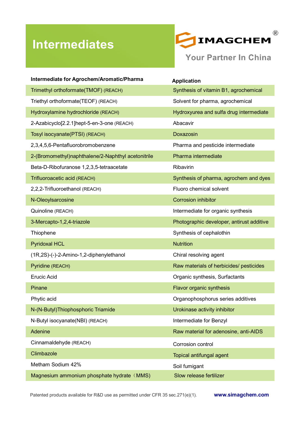## **Intermediates**



| Intermediate for Agrochem/Aromatic/Pharma          | <b>Application</b>                        |
|----------------------------------------------------|-------------------------------------------|
| Trimethyl orthoformate(TMOF) (REACH)               | Synthesis of vitamin B1, agrochemical     |
| Triethyl orthoformate(TEOF) (REACH)                | Solvent for pharma, agrochemical          |
| Hydroxylamine hydrochloride (REACH)                | Hydroxyurea and sulfa drug intermediate   |
| 2-Azabicyclo[2.2.1]hept-5-en-3-one (REACH)         | Abacavir                                  |
| Tosyl isocyanate(PTSI) (REACH)                     | Doxazosin                                 |
| 2,3,4,5,6-Pentafluorobromobenzene                  | Pharma and pesticide intermediate         |
| 2-(Bromomethyl)naphthalene/2-Naphthyl acetonitrile | Pharma intermediate                       |
| Beta-D-Ribofuranose 1,2,3,5-tetraacetate           | Ribavirin                                 |
| Trifluoroacetic acid (REACH)                       | Synthesis of pharma, agrochem and dyes    |
| 2,2,2-Trifluoroethanol (REACH)                     | Fluoro chemical solvent                   |
| N-Oleoylsarcosine                                  | <b>Corrosion inhibitor</b>                |
| Quinoline (REACH)                                  | Intermediate for organic synthesis        |
| 3-Mercapto-1,2,4-triazole                          | Photographic developer, antirust additive |
| Thiophene                                          | Synthesis of cephalothin                  |
| <b>Pyridoxal HCL</b>                               | <b>Nutrition</b>                          |
| (1R,2S)-(-)-2-Amino-1,2-diphenylethanol            | Chiral resolving agent                    |
| Pyridine (REACH)                                   | Raw materials of herbicides/ pesticides   |
| <b>Erucic Acid</b>                                 | Organic synthesis, Surfactants            |
| Pinane                                             | Flavor organic synthesis                  |
| Phytic acid                                        | Organophosphorus series additives         |
| N-(N-Butyl) Thiophosphoric Triamide                | Urokinase activity inhibitor              |
| N-Butyl isocyanate(NBI) (REACH)                    | Intermediate for Benzyl                   |
| Adenine                                            | Raw material for adenosine, anti-AIDS     |
| Cinnamaldehyde (REACH)                             | Corrosion control                         |
| Climbazole                                         | <b>Topical antifungal agent</b>           |
| Metham Sodium 42%                                  | Soil fumigant                             |
| Magnesium ammonium phosphate hydrate (MMS)         | Slow release fertilizer                   |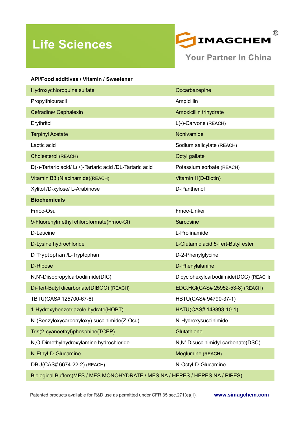## **Life Sciences**



| <b>API/Food additives / Vitamin / Sweetener</b>                               |                                       |
|-------------------------------------------------------------------------------|---------------------------------------|
| Hydroxychloroquine sulfate                                                    | Oxcarbazepine                         |
| Propylthiouracil                                                              | Ampicillin                            |
| Cefradine/ Cephalexin                                                         | Amoxicillin trihydrate                |
| Erythritol                                                                    | L(-)-Carvone (REACH)                  |
| <b>Terpinyl Acetate</b>                                                       | Nonivamide                            |
| Lactic acid                                                                   | Sodium salicylate (REACH)             |
| Cholesterol (REACH)                                                           | Octyl gallate                         |
| D(-)-Tartaric acid/ L(+)-Tartaric acid /DL-Tartaric acid                      | Potassium sorbate (REACH)             |
| Vitamin B3 (Niacinamide)(REACH)                                               | Vitamin H(D-Biotin)                   |
| Xylitol /D-xylose/ L-Arabinose                                                | D-Panthenol                           |
| <b>Biochemicals</b>                                                           |                                       |
| Fmoc-Osu                                                                      | Fmoc-Linker                           |
| 9-Fluorenylmethyl chloroformate(Fmoc-CI)                                      | Sarcosine                             |
| D-Leucine                                                                     | L-Prolinamide                         |
| D-Lysine hydrochloride                                                        | L-Glutamic acid 5-Tert-Butyl ester    |
| D-Tryptophan /L-Tryptophan                                                    | D-2-Phenylglycine                     |
| D-Ribose                                                                      | D-Phenylalanine                       |
| N,N'-Diisopropylcarbodiimide(DIC)                                             | Dicyclohexylcarbodiimide(DCC) (REACH) |
| Di-Tert-Butyl dicarbonate(DIBOC) (REACH)                                      | EDC.HCI(CAS# 25952-53-8) (REACH)      |
| TBTU(CAS# 125700-67-6)                                                        | HBTU(CAS# 94790-37-1)                 |
| 1-Hydroxybenzotriazole hydrate(HOBT)                                          | HATU(CAS# 148893-10-1)                |
| N-(Benzyloxycarbonyloxy) succinimide(Z-Osu)                                   | N-Hydroxysuccinimide                  |
| Tris(2-cyanoethyl)phosphine(TCEP)                                             | Glutathione                           |
| N,O-Dimethylhydroxylamine hydrochloride                                       | N,N'-Disuccinimidyl carbonate(DSC)    |
| N-Ethyl-D-Glucamine                                                           | Meglumine (REACH)                     |
| DBU(CAS# 6674-22-2) (REACH)                                                   | N-Octyl-D-Glucamine                   |
| Biological Buffers(MES / MES MONOHYDRATE / MES NA / HEPES / HEPES NA / PIPES) |                                       |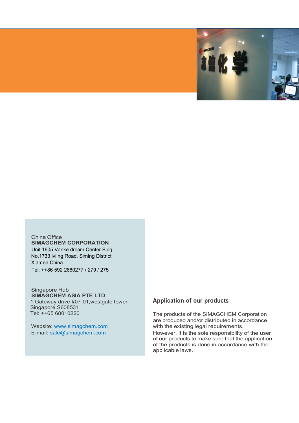

China Office **SIMAGCHEM CORPORATION** Unit 1605 Vanke dream Center Bldg, No.1733 lvling Road, Siming District Xiamen China Tel: ++86 592 2680277 / 279 / 275

#### Singapore Hub **SIMAGCHEM ASIA PTE LTD**

1 Gateway drive #07-01,westgate tower Singapore S608531 Tel: ++65 68010220

Website: www.simagchem.com E-mail: sale@simagchem.com

#### **Application of our products**

The products of the SIMAGCHEM Corporation are produced and/or distributed in accordance with the existing legal requirements. However, it is the sole responsibility of the user of our products to make sure that the application of the products is done in accordance with the applicable laws.